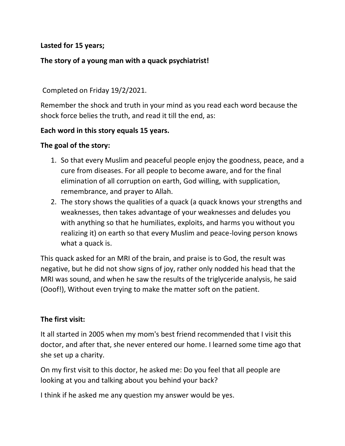## **Lasted for 15 years;**

## **The story of a young man with a quack psychiatrist!**

## Completed on Friday 19/2/2021.

Remember the shock and truth in your mind as you read each word because the shock force belies the truth, and read it till the end, as:

### **Each word in this story equals 15 years.**

### **The goal of the story:**

- 1. So that every Muslim and peaceful people enjoy the goodness, peace, and a cure from diseases. For all people to become aware, and for the final elimination of all corruption on earth, God willing, with supplication, remembrance, and prayer to Allah.
- 2. The story shows the qualities of a quack (a quack knows your strengths and weaknesses, then takes advantage of your weaknesses and deludes you with anything so that he humiliates, exploits, and harms you without you realizing it) on earth so that every Muslim and peace-loving person knows what a quack is.

This quack asked for an MRI of the brain, and praise is to God, the result was negative, but he did not show signs of joy, rather only nodded his head that the MRI was sound, and when he saw the results of the triglyceride analysis, he said (Ooof!), Without even trying to make the matter soft on the patient.

## **The first visit:**

It all started in 2005 when my mom's best friend recommended that I visit this doctor, and after that, she never entered our home. I learned some time ago that she set up a charity.

On my first visit to this doctor, he asked me: Do you feel that all people are looking at you and talking about you behind your back?

I think if he asked me any question my answer would be yes.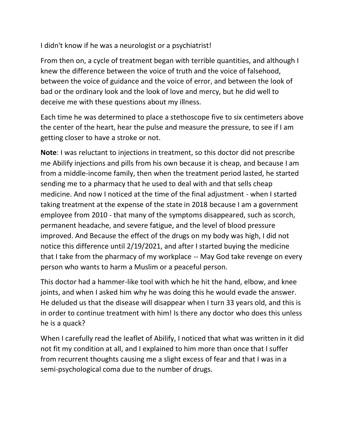I didn't know if he was a neurologist or a psychiatrist!

From then on, a cycle of treatment began with terrible quantities, and although I knew the difference between the voice of truth and the voice of falsehood, between the voice of guidance and the voice of error, and between the look of bad or the ordinary look and the look of love and mercy, but he did well to deceive me with these questions about my illness.

Each time he was determined to place a stethoscope five to six centimeters above the center of the heart, hear the pulse and measure the pressure, to see if I am getting closer to have a stroke or not.

**Note**: I was reluctant to injections in treatment, so this doctor did not prescribe me Abilify injections and pills from his own because it is cheap, and because I am from a middle-income family, then when the treatment period lasted, he started sending me to a pharmacy that he used to deal with and that sells cheap medicine. And now I noticed at the time of the final adjustment - when I started taking treatment at the expense of the state in 2018 because I am a government employee from 2010 - that many of the symptoms disappeared, such as scorch, permanent headache, and severe fatigue, and the level of blood pressure improved. And Because the effect of the drugs on my body was high, I did not notice this difference until 2/19/2021, and after I started buying the medicine that I take from the pharmacy of my workplace -- May God take revenge on every person who wants to harm a Muslim or a peaceful person.

This doctor had a hammer-like tool with which he hit the hand, elbow, and knee joints, and when I asked him why he was doing this he would evade the answer. He deluded us that the disease will disappear when I turn 33 years old, and this is in order to continue treatment with him! Is there any doctor who does this unless he is a quack?

When I carefully read the leaflet of Abilify, I noticed that what was written in it did not fit my condition at all, and I explained to him more than once that I suffer from recurrent thoughts causing me a slight excess of fear and that I was in a semi-psychological coma due to the number of drugs.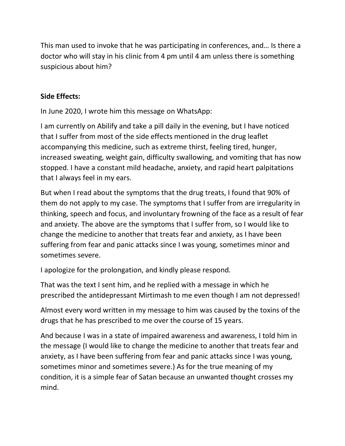This man used to invoke that he was participating in conferences, and… Is there a doctor who will stay in his clinic from 4 pm until 4 am unless there is something suspicious about him?

# **Side Effects:**

In June 2020, I wrote him this message on WhatsApp:

I am currently on Abilify and take a pill daily in the evening, but I have noticed that I suffer from most of the side effects mentioned in the drug leaflet accompanying this medicine, such as extreme thirst, feeling tired, hunger, increased sweating, weight gain, difficulty swallowing, and vomiting that has now stopped. I have a constant mild headache, anxiety, and rapid heart palpitations that I always feel in my ears.

But when I read about the symptoms that the drug treats, I found that 90% of them do not apply to my case. The symptoms that I suffer from are irregularity in thinking, speech and focus, and involuntary frowning of the face as a result of fear and anxiety. The above are the symptoms that I suffer from, so I would like to change the medicine to another that treats fear and anxiety, as I have been suffering from fear and panic attacks since I was young, sometimes minor and sometimes severe.

I apologize for the prolongation, and kindly please respond.

That was the text I sent him, and he replied with a message in which he prescribed the antidepressant Mirtimash to me even though I am not depressed!

Almost every word written in my message to him was caused by the toxins of the drugs that he has prescribed to me over the course of 15 years.

And because I was in a state of impaired awareness and awareness, I told him in the message (I would like to change the medicine to another that treats fear and anxiety, as I have been suffering from fear and panic attacks since I was young, sometimes minor and sometimes severe.) As for the true meaning of my condition, it is a simple fear of Satan because an unwanted thought crosses my mind.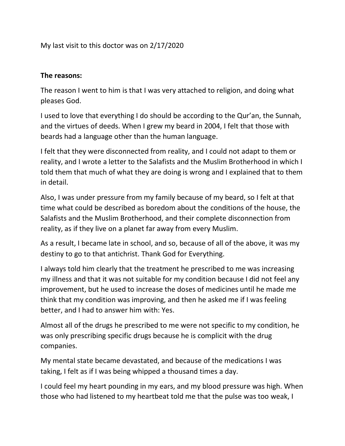My last visit to this doctor was on 2/17/2020

## **The reasons:**

The reason I went to him is that I was very attached to religion, and doing what pleases God.

I used to love that everything I do should be according to the Qur'an, the Sunnah, and the virtues of deeds. When I grew my beard in 2004, I felt that those with beards had a language other than the human language.

I felt that they were disconnected from reality, and I could not adapt to them or reality, and I wrote a letter to the Salafists and the Muslim Brotherhood in which I told them that much of what they are doing is wrong and I explained that to them in detail.

Also, I was under pressure from my family because of my beard, so I felt at that time what could be described as boredom about the conditions of the house, the Salafists and the Muslim Brotherhood, and their complete disconnection from reality, as if they live on a planet far away from every Muslim.

As a result, I became late in school, and so, because of all of the above, it was my destiny to go to that antichrist. Thank God for Everything.

I always told him clearly that the treatment he prescribed to me was increasing my illness and that it was not suitable for my condition because I did not feel any improvement, but he used to increase the doses of medicines until he made me think that my condition was improving, and then he asked me if I was feeling better, and I had to answer him with: Yes.

Almost all of the drugs he prescribed to me were not specific to my condition, he was only prescribing specific drugs because he is complicit with the drug companies.

My mental state became devastated, and because of the medications I was taking, I felt as if I was being whipped a thousand times a day.

I could feel my heart pounding in my ears, and my blood pressure was high. When those who had listened to my heartbeat told me that the pulse was too weak, I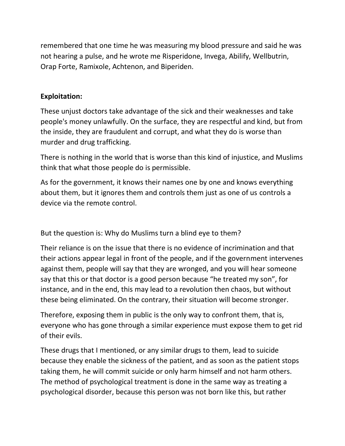remembered that one time he was measuring my blood pressure and said he was not hearing a pulse, and he wrote me Risperidone, Invega, Abilify, Wellbutrin, Orap Forte, Ramixole, Achtenon, and Biperiden.

## **Exploitation:**

These unjust doctors take advantage of the sick and their weaknesses and take people's money unlawfully. On the surface, they are respectful and kind, but from the inside, they are fraudulent and corrupt, and what they do is worse than murder and drug trafficking.

There is nothing in the world that is worse than this kind of injustice, and Muslims think that what those people do is permissible.

As for the government, it knows their names one by one and knows everything about them, but it ignores them and controls them just as one of us controls a device via the remote control.

But the question is: Why do Muslims turn a blind eye to them?

Their reliance is on the issue that there is no evidence of incrimination and that their actions appear legal in front of the people, and if the government intervenes against them, people will say that they are wronged, and you will hear someone say that this or that doctor is a good person because "he treated my son", for instance, and in the end, this may lead to a revolution then chaos, but without these being eliminated. On the contrary, their situation will become stronger.

Therefore, exposing them in public is the only way to confront them, that is, everyone who has gone through a similar experience must expose them to get rid of their evils.

These drugs that I mentioned, or any similar drugs to them, lead to suicide because they enable the sickness of the patient, and as soon as the patient stops taking them, he will commit suicide or only harm himself and not harm others. The method of psychological treatment is done in the same way as treating a psychological disorder, because this person was not born like this, but rather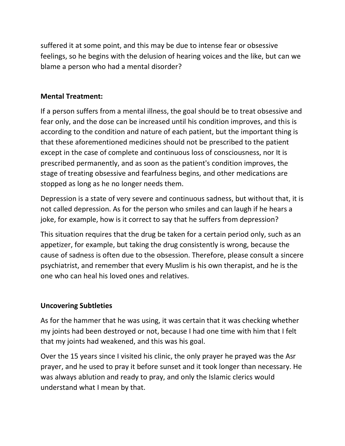suffered it at some point, and this may be due to intense fear or obsessive feelings, so he begins with the delusion of hearing voices and the like, but can we blame a person who had a mental disorder?

## **Mental Treatment:**

If a person suffers from a mental illness, the goal should be to treat obsessive and fear only, and the dose can be increased until his condition improves, and this is according to the condition and nature of each patient, but the important thing is that these aforementioned medicines should not be prescribed to the patient except in the case of complete and continuous loss of consciousness, nor It is prescribed permanently, and as soon as the patient's condition improves, the stage of treating obsessive and fearfulness begins, and other medications are stopped as long as he no longer needs them.

Depression is a state of very severe and continuous sadness, but without that, it is not called depression. As for the person who smiles and can laugh if he hears a joke, for example, how is it correct to say that he suffers from depression?

This situation requires that the drug be taken for a certain period only, such as an appetizer, for example, but taking the drug consistently is wrong, because the cause of sadness is often due to the obsession. Therefore, please consult a sincere psychiatrist, and remember that every Muslim is his own therapist, and he is the one who can heal his loved ones and relatives.

# **Uncovering Subtleties**

As for the hammer that he was using, it was certain that it was checking whether my joints had been destroyed or not, because I had one time with him that I felt that my joints had weakened, and this was his goal.

Over the 15 years since I visited his clinic, the only prayer he prayed was the Asr prayer, and he used to pray it before sunset and it took longer than necessary. He was always ablution and ready to pray, and only the Islamic clerics would understand what I mean by that.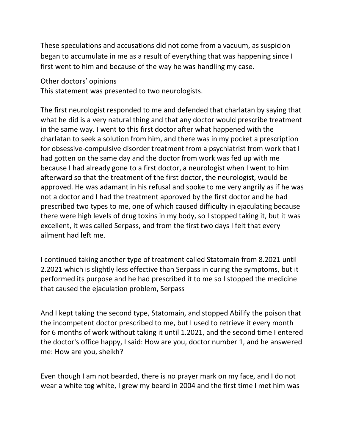These speculations and accusations did not come from a vacuum, as suspicion began to accumulate in me as a result of everything that was happening since I first went to him and because of the way he was handling my case.

Other doctors' opinions

This statement was presented to two neurologists.

The first neurologist responded to me and defended that charlatan by saying that what he did is a very natural thing and that any doctor would prescribe treatment in the same way. I went to this first doctor after what happened with the charlatan to seek a solution from him, and there was in my pocket a prescription for obsessive-compulsive disorder treatment from a psychiatrist from work that I had gotten on the same day and the doctor from work was fed up with me because I had already gone to a first doctor, a neurologist when I went to him afterward so that the treatment of the first doctor, the neurologist, would be approved. He was adamant in his refusal and spoke to me very angrily as if he was not a doctor and I had the treatment approved by the first doctor and he had prescribed two types to me, one of which caused difficulty in ejaculating because there were high levels of drug toxins in my body, so I stopped taking it, but it was excellent, it was called Serpass, and from the first two days I felt that every ailment had left me.

I continued taking another type of treatment called Statomain from 8.2021 until 2.2021 which is slightly less effective than Serpass in curing the symptoms, but it performed its purpose and he had prescribed it to me so I stopped the medicine that caused the ejaculation problem, Serpass

And I kept taking the second type, Statomain, and stopped Abilify the poison that the incompetent doctor prescribed to me, but I used to retrieve it every month for 6 months of work without taking it until 1.2021, and the second time I entered the doctor's office happy, I said: How are you, doctor number 1, and he answered me: How are you, sheikh?

Even though I am not bearded, there is no prayer mark on my face, and I do not wear a white tog white, I grew my beard in 2004 and the first time I met him was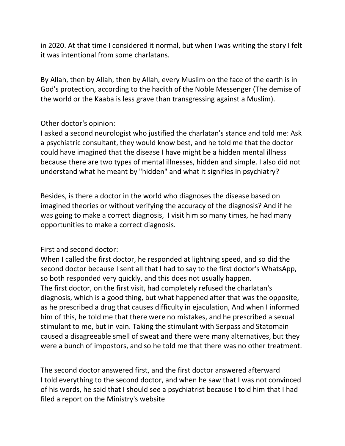in 2020. At that time I considered it normal, but when I was writing the story I felt it was intentional from some charlatans.

By Allah, then by Allah, then by Allah, every Muslim on the face of the earth is in God's protection, according to the hadith of the Noble Messenger (The demise of the world or the Kaaba is less grave than transgressing against a Muslim).

### Other doctor's opinion:

I asked a second neurologist who justified the charlatan's stance and told me: Ask a psychiatric consultant, they would know best, and he told me that the doctor could have imagined that the disease I have might be a hidden mental illness because there are two types of mental illnesses, hidden and simple. I also did not understand what he meant by "hidden" and what it signifies in psychiatry?

Besides, is there a doctor in the world who diagnoses the disease based on imagined theories or without verifying the accuracy of the diagnosis? And if he was going to make a correct diagnosis, I visit him so many times, he had many opportunities to make a correct diagnosis.

## First and second doctor:

When I called the first doctor, he responded at lightning speed, and so did the second doctor because I sent all that I had to say to the first doctor's WhatsApp, so both responded very quickly, and this does not usually happen. The first doctor, on the first visit, had completely refused the charlatan's diagnosis, which is a good thing, but what happened after that was the opposite, as he prescribed a drug that causes difficulty in ejaculation, And when I informed him of this, he told me that there were no mistakes, and he prescribed a sexual stimulant to me, but in vain. Taking the stimulant with Serpass and Statomain caused a disagreeable smell of sweat and there were many alternatives, but they were a bunch of impostors, and so he told me that there was no other treatment.

The second doctor answered first, and the first doctor answered afterward I told everything to the second doctor, and when he saw that I was not convinced of his words, he said that I should see a psychiatrist because I told him that I had filed a report on the Ministry's website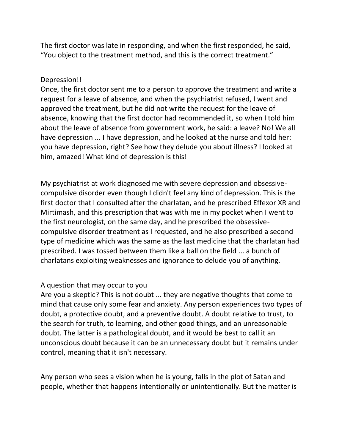The first doctor was late in responding, and when the first responded, he said, "You object to the treatment method, and this is the correct treatment."

#### Depression!!

Once, the first doctor sent me to a person to approve the treatment and write a request for a leave of absence, and when the psychiatrist refused, I went and approved the treatment, but he did not write the request for the leave of absence, knowing that the first doctor had recommended it, so when I told him about the leave of absence from government work, he said: a leave? No! We all have depression ... I have depression, and he looked at the nurse and told her: you have depression, right? See how they delude you about illness? I looked at him, amazed! What kind of depression is this!

My psychiatrist at work diagnosed me with severe depression and obsessivecompulsive disorder even though I didn't feel any kind of depression. This is the first doctor that I consulted after the charlatan, and he prescribed Effexor XR and Mirtimash, and this prescription that was with me in my pocket when I went to the first neurologist, on the same day, and he prescribed the obsessivecompulsive disorder treatment as I requested, and he also prescribed a second type of medicine which was the same as the last medicine that the charlatan had prescribed. I was tossed between them like a ball on the field ... a bunch of charlatans exploiting weaknesses and ignorance to delude you of anything.

#### A question that may occur to you

Are you a skeptic? This is not doubt ... they are negative thoughts that come to mind that cause only some fear and anxiety. Any person experiences two types of doubt, a protective doubt, and a preventive doubt. A doubt relative to trust, to the search for truth, to learning, and other good things, and an unreasonable doubt. The latter is a pathological doubt, and it would be best to call it an unconscious doubt because it can be an unnecessary doubt but it remains under control, meaning that it isn't necessary.

Any person who sees a vision when he is young, falls in the plot of Satan and people, whether that happens intentionally or unintentionally. But the matter is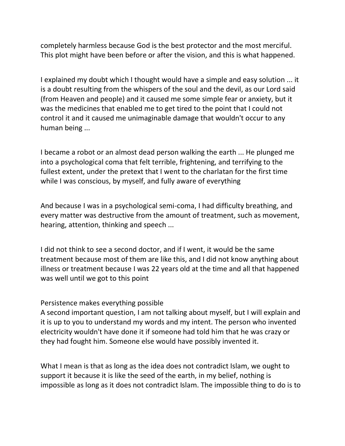completely harmless because God is the best protector and the most merciful. This plot might have been before or after the vision, and this is what happened.

I explained my doubt which I thought would have a simple and easy solution ... it is a doubt resulting from the whispers of the soul and the devil, as our Lord said (from Heaven and people) and it caused me some simple fear or anxiety, but it was the medicines that enabled me to get tired to the point that I could not control it and it caused me unimaginable damage that wouldn't occur to any human being ...

I became a robot or an almost dead person walking the earth ... He plunged me into a psychological coma that felt terrible, frightening, and terrifying to the fullest extent, under the pretext that I went to the charlatan for the first time while I was conscious, by myself, and fully aware of everything

And because I was in a psychological semi-coma, I had difficulty breathing, and every matter was destructive from the amount of treatment, such as movement, hearing, attention, thinking and speech ...

I did not think to see a second doctor, and if I went, it would be the same treatment because most of them are like this, and I did not know anything about illness or treatment because I was 22 years old at the time and all that happened was well until we got to this point

#### Persistence makes everything possible

A second important question, I am not talking about myself, but I will explain and it is up to you to understand my words and my intent. The person who invented electricity wouldn't have done it if someone had told him that he was crazy or they had fought him. Someone else would have possibly invented it.

What I mean is that as long as the idea does not contradict Islam, we ought to support it because it is like the seed of the earth, in my belief, nothing is impossible as long as it does not contradict Islam. The impossible thing to do is to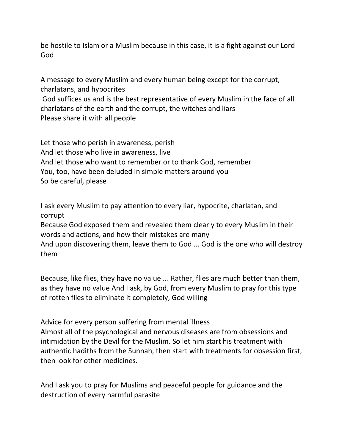be hostile to Islam or a Muslim because in this case, it is a fight against our Lord God

A message to every Muslim and every human being except for the corrupt, charlatans, and hypocrites

God suffices us and is the best representative of every Muslim in the face of all charlatans of the earth and the corrupt, the witches and liars Please share it with all people

Let those who perish in awareness, perish And let those who live in awareness, live And let those who want to remember or to thank God, remember You, too, have been deluded in simple matters around you So be careful, please

I ask every Muslim to pay attention to every liar, hypocrite, charlatan, and corrupt

Because God exposed them and revealed them clearly to every Muslim in their words and actions, and how their mistakes are many

And upon discovering them, leave them to God ... God is the one who will destroy them

Because, like flies, they have no value ... Rather, flies are much better than them, as they have no value And I ask, by God, from every Muslim to pray for this type of rotten flies to eliminate it completely, God willing

Advice for every person suffering from mental illness Almost all of the psychological and nervous diseases are from obsessions and intimidation by the Devil for the Muslim. So let him start his treatment with authentic hadiths from the Sunnah, then start with treatments for obsession first, then look for other medicines.

And I ask you to pray for Muslims and peaceful people for guidance and the destruction of every harmful parasite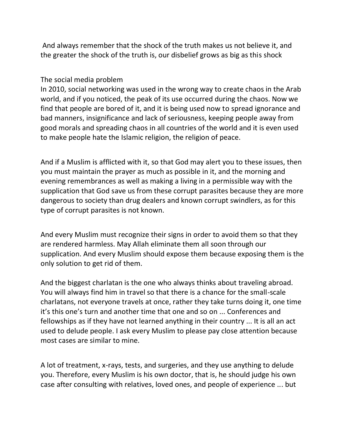And always remember that the shock of the truth makes us not believe it, and the greater the shock of the truth is, our disbelief grows as big as this shock

### The social media problem

In 2010, social networking was used in the wrong way to create chaos in the Arab world, and if you noticed, the peak of its use occurred during the chaos. Now we find that people are bored of it, and it is being used now to spread ignorance and bad manners, insignificance and lack of seriousness, keeping people away from good morals and spreading chaos in all countries of the world and it is even used to make people hate the Islamic religion, the religion of peace.

And if a Muslim is afflicted with it, so that God may alert you to these issues, then you must maintain the prayer as much as possible in it, and the morning and evening remembrances as well as making a living in a permissible way with the supplication that God save us from these corrupt parasites because they are more dangerous to society than drug dealers and known corrupt swindlers, as for this type of corrupt parasites is not known.

And every Muslim must recognize their signs in order to avoid them so that they are rendered harmless. May Allah eliminate them all soon through our supplication. And every Muslim should expose them because exposing them is the only solution to get rid of them.

And the biggest charlatan is the one who always thinks about traveling abroad. You will always find him in travel so that there is a chance for the small-scale charlatans, not everyone travels at once, rather they take turns doing it, one time it's this one's turn and another time that one and so on ... Conferences and fellowships as if they have not learned anything in their country ... It is all an act used to delude people. I ask every Muslim to please pay close attention because most cases are similar to mine.

A lot of treatment, x-rays, tests, and surgeries, and they use anything to delude you. Therefore, every Muslim is his own doctor, that is, he should judge his own case after consulting with relatives, loved ones, and people of experience ... but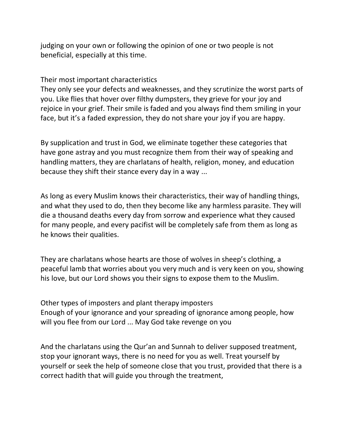judging on your own or following the opinion of one or two people is not beneficial, especially at this time.

Their most important characteristics

They only see your defects and weaknesses, and they scrutinize the worst parts of you. Like flies that hover over filthy dumpsters, they grieve for your joy and rejoice in your grief. Their smile is faded and you always find them smiling in your face, but it's a faded expression, they do not share your joy if you are happy.

By supplication and trust in God, we eliminate together these categories that have gone astray and you must recognize them from their way of speaking and handling matters, they are charlatans of health, religion, money, and education because they shift their stance every day in a way ...

As long as every Muslim knows their characteristics, their way of handling things, and what they used to do, then they become like any harmless parasite. They will die a thousand deaths every day from sorrow and experience what they caused for many people, and every pacifist will be completely safe from them as long as he knows their qualities.

They are charlatans whose hearts are those of wolves in sheep's clothing, a peaceful lamb that worries about you very much and is very keen on you, showing his love, but our Lord shows you their signs to expose them to the Muslim.

Other types of imposters and plant therapy imposters Enough of your ignorance and your spreading of ignorance among people, how will you flee from our Lord ... May God take revenge on you

And the charlatans using the Qur'an and Sunnah to deliver supposed treatment, stop your ignorant ways, there is no need for you as well. Treat yourself by yourself or seek the help of someone close that you trust, provided that there is a correct hadith that will guide you through the treatment,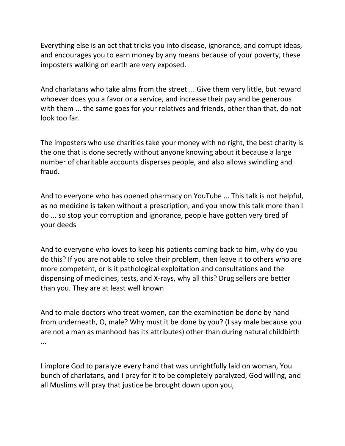Everything else is an act that tricks you into disease, ignorance, and corrupt ideas, and encourages you to earn money by any means because of your poverty, these imposters walking on earth are very exposed.

And charlatans who take alms from the street ... Give them very little, but reward whoever does you a favor or a service, and increase their pay and be generous with them ... the same goes for your relatives and friends, other than that, do not look too far.

The imposters who use charities take your money with no right, the best charity is the one that is done secretly without anyone knowing about it because a large number of charitable accounts disperses people, and also allows swindling and fraud.

And to everyone who has opened pharmacy on YouTube ... This talk is not helpful, as no medicine is taken without a prescription, and you know this talk more than I do ... so stop your corruption and ignorance, people have gotten very tired of your deeds

And to everyone who loves to keep his patients coming back to him, why do you do this? If you are not able to solve their problem, then leave it to others who are more competent, or is it pathological exploitation and consultations and the dispensing of medicines, tests, and X-rays, why all this? Drug sellers are better than you. They are at least well known

And to male doctors who treat women, can the examination be done by hand from underneath, O, male? Why must it be done by you? (I say male because you are not a man as manhood has its attributes) other than during natural childbirth ...

I implore God to paralyze every hand that was unrightfully laid on woman, You bunch of charlatans, and I pray for it to be completely paralyzed, God willing, and all Muslims will pray that justice be brought down upon you,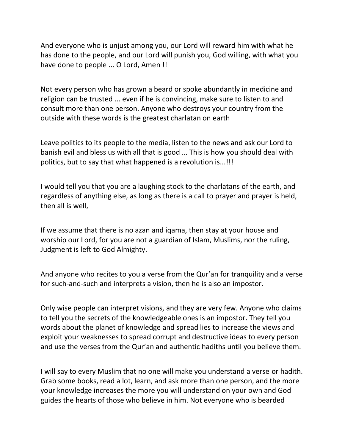And everyone who is unjust among you, our Lord will reward him with what he has done to the people, and our Lord will punish you, God willing, with what you have done to people ... O Lord, Amen !!

Not every person who has grown a beard or spoke abundantly in medicine and religion can be trusted ... even if he is convincing, make sure to listen to and consult more than one person. Anyone who destroys your country from the outside with these words is the greatest charlatan on earth

Leave politics to its people to the media, listen to the news and ask our Lord to banish evil and bless us with all that is good ... This is how you should deal with politics, but to say that what happened is a revolution is...!!!

I would tell you that you are a laughing stock to the charlatans of the earth, and regardless of anything else, as long as there is a call to prayer and prayer is held, then all is well,

If we assume that there is no azan and iqama, then stay at your house and worship our Lord, for you are not a guardian of Islam, Muslims, nor the ruling, Judgment is left to God Almighty.

And anyone who recites to you a verse from the Qur'an for tranquility and a verse for such-and-such and interprets a vision, then he is also an impostor.

Only wise people can interpret visions, and they are very few. Anyone who claims to tell you the secrets of the knowledgeable ones is an impostor. They tell you words about the planet of knowledge and spread lies to increase the views and exploit your weaknesses to spread corrupt and destructive ideas to every person and use the verses from the Qur'an and authentic hadiths until you believe them.

I will say to every Muslim that no one will make you understand a verse or hadith. Grab some books, read a lot, learn, and ask more than one person, and the more your knowledge increases the more you will understand on your own and God guides the hearts of those who believe in him. Not everyone who is bearded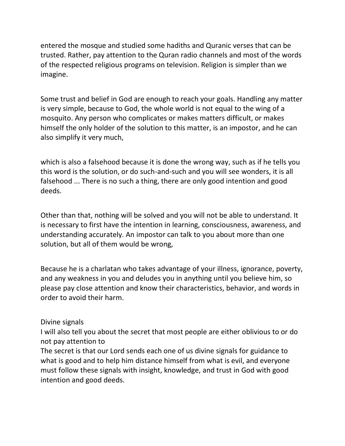entered the mosque and studied some hadiths and Quranic verses that can be trusted. Rather, pay attention to the Quran radio channels and most of the words of the respected religious programs on television. Religion is simpler than we imagine.

Some trust and belief in God are enough to reach your goals. Handling any matter is very simple, because to God, the whole world is not equal to the wing of a mosquito. Any person who complicates or makes matters difficult, or makes himself the only holder of the solution to this matter, is an impostor, and he can also simplify it very much,

which is also a falsehood because it is done the wrong way, such as if he tells you this word is the solution, or do such-and-such and you will see wonders, it is all falsehood ... There is no such a thing, there are only good intention and good deeds.

Other than that, nothing will be solved and you will not be able to understand. It is necessary to first have the intention in learning, consciousness, awareness, and understanding accurately. An impostor can talk to you about more than one solution, but all of them would be wrong,

Because he is a charlatan who takes advantage of your illness, ignorance, poverty, and any weakness in you and deludes you in anything until you believe him, so please pay close attention and know their characteristics, behavior, and words in order to avoid their harm.

#### Divine signals

I will also tell you about the secret that most people are either oblivious to or do not pay attention to

The secret is that our Lord sends each one of us divine signals for guidance to what is good and to help him distance himself from what is evil, and everyone must follow these signals with insight, knowledge, and trust in God with good intention and good deeds.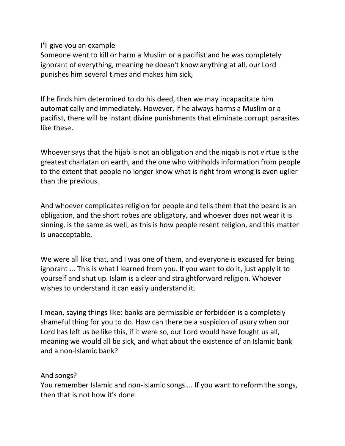I'll give you an example

Someone went to kill or harm a Muslim or a pacifist and he was completely ignorant of everything, meaning he doesn't know anything at all, our Lord punishes him several times and makes him sick,

If he finds him determined to do his deed, then we may incapacitate him automatically and immediately. However, if he always harms a Muslim or a pacifist, there will be instant divine punishments that eliminate corrupt parasites like these.

Whoever says that the hijab is not an obligation and the niqab is not virtue is the greatest charlatan on earth, and the one who withholds information from people to the extent that people no longer know what is right from wrong is even uglier than the previous.

And whoever complicates religion for people and tells them that the beard is an obligation, and the short robes are obligatory, and whoever does not wear it is sinning, is the same as well, as this is how people resent religion, and this matter is unacceptable.

We were all like that, and I was one of them, and everyone is excused for being ignorant ... This is what I learned from you. If you want to do it, just apply it to yourself and shut up. Islam is a clear and straightforward religion. Whoever wishes to understand it can easily understand it.

I mean, saying things like: banks are permissible or forbidden is a completely shameful thing for you to do. How can there be a suspicion of usury when our Lord has left us be like this, if it were so, our Lord would have fought us all, meaning we would all be sick, and what about the existence of an Islamic bank and a non-Islamic bank?

And songs?

You remember Islamic and non-Islamic songs ... If you want to reform the songs, then that is not how it's done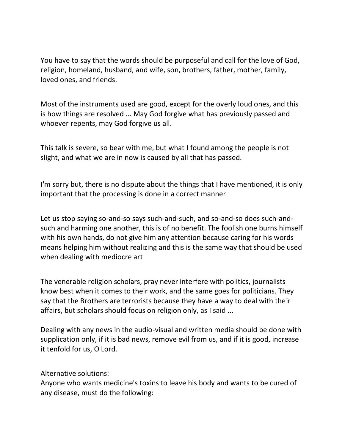You have to say that the words should be purposeful and call for the love of God, religion, homeland, husband, and wife, son, brothers, father, mother, family, loved ones, and friends.

Most of the instruments used are good, except for the overly loud ones, and this is how things are resolved ... May God forgive what has previously passed and whoever repents, may God forgive us all.

This talk is severe, so bear with me, but what I found among the people is not slight, and what we are in now is caused by all that has passed.

I'm sorry but, there is no dispute about the things that I have mentioned, it is only important that the processing is done in a correct manner

Let us stop saying so-and-so says such-and-such, and so-and-so does such-andsuch and harming one another, this is of no benefit. The foolish one burns himself with his own hands, do not give him any attention because caring for his words means helping him without realizing and this is the same way that should be used when dealing with mediocre art

The venerable religion scholars, pray never interfere with politics, journalists know best when it comes to their work, and the same goes for politicians. They say that the Brothers are terrorists because they have a way to deal with their affairs, but scholars should focus on religion only, as I said ...

Dealing with any news in the audio-visual and written media should be done with supplication only, if it is bad news, remove evil from us, and if it is good, increase it tenfold for us, O Lord.

Alternative solutions:

Anyone who wants medicine's toxins to leave his body and wants to be cured of any disease, must do the following: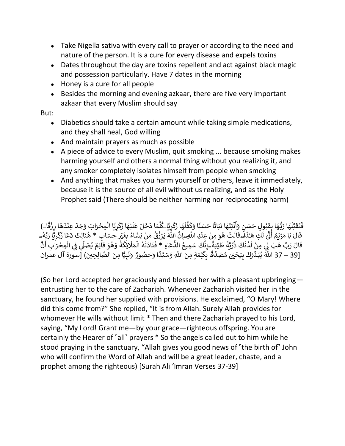- Take Nigella sativa with every call to prayer or according to the need and nature of the person. It is a cure for every disease and expels toxins
- Dates throughout the day are toxins repellent and act against black magic and possession particularly. Have 7 dates in the morning
- Honey is a cure for all people
- Besides the morning and evening azkaar, there are five very important azkaar that every Muslim should say

But:

- Diabetics should take a certain amount while taking simple medications, and they shall heal, God willing
- And maintain prayers as much as possible
- A piece of advice to every Muslim, quit smoking ... because smoking makes harming yourself and others a normal thing without you realizing it, and any smoker completely isolates himself from people when smoking
- And anything that makes you harm yourself or others, leave it immediately, because it is the source of all evil without us realizing, and as the Holy Prophet said (There should be neither harming nor reciprocating harm)

مَا دَخَلَ عَلَيْهَا زَكَرِيَّا الْمِحْرَابَ وَجَدَ عِنْدَهَا رِزْقًا…) ِ<br>َا ؚ<br>ڔؾۜٳ؊ؗڴؘڵؖ <u>،</u> َ ك َ ِ<br>نَهَا زَدَ ً<br>آ ل َّ ف َ ً<br>تًا حَسَنًا وَكَ ِ<br>بَاتًا َ نْبَتَهَا ذَ ゚゚゚゚ ِ<br>بُولٍ حَسَنٍ وَأَ أ ُ َ ِ<br>هَا رَبُّهَا بِقَ<sup>ّ</sup> ِ<br>آا ل َّ ب َ ق َ ت  $\ddot{\cdot}$ فَتَقَبَّلُهَا رَبُّهَا بِقَبُولِ حَسَنٍ وَأَنْبَتَهَا نَبَاتًا حَسَنًا وَكَفَّلَهَا زَكَرِيَّا ۖ كَف عَلَيْهَا زَكَرِيَّا الْمِحْرَابَ وَجَدَ عِنْدَهَا رِزْقَاء ً ِ<br>هَا رِزْقً ْ  $\frac{1}{1}$ عِنْدَ ֦֧֧֟<u>֦</u> ِ<br>آ رِيًّا الْمِحْرَابَ وَجَدَ ْ َ ك َ .<br>يُهَا زَ ំ<br>រ ً<br>آ خَلَ عَلَ بِقَبُولٍ حَسَنٍ وَأَنْبَتَهَا نَبَاتًا حَسَنًا وَكَفَّلَهَا زَكَرِيًا كُلَّمَا دَخَـ<br>أَيَّـنَ مَسَنَ قَانَةً وَ مُسَوْدِينَ وَ الْمَسَاءَ الْمَسَاءَ وَ أَنْ مَنْ الْمَسَوْدِينَ وَ وَ الْمَسْرِدِي ِ رَسِرِيَّ ٖ َ ۖ<br>فَيُثِرِ حِسَ اءُ بِغَـٰ<br>۔ ُ َ .<br>نَّ اللَّهَ يَرْزُقُ مَنْ يَشَ ْ ۔<br>پ ُ ابنيها بابا حسنا وتعنها<br>َلَتْ هُوَ مِنْ عِنْدِ اللَّهِۦۚإِنَّ ֦֧<u>֝</u> ْ ُ ال ั<br>: ا<sub>ِس</sub>وً ،<br>: ِي<br>لَكِ هَـٰذَ ٰ  $\overline{\phantom{a}}$ ر<br>آ حبها بحبو<br>الَ يَا مَرْيَمُ أَنَّىٰ لَـ ٰ أ ِّ<br>دُ .<br>د ์<br>: َّ 5: دَّ قَالَ مَا مَرْيَمُ أَنَّى لَكِّ هَذَا الطَّالَتْ هُوَ مِنْ عِنْدِ اللَّهِۦ إِنَّ اللَّهَ يَرْزُقُ مَن<br>قَالَ يَا مَرْيَمُ أَنَّ لَكِ هَذَا الطَّالَتْ هُوَ مِنْ عِنْدِ اللَّهِۦ إِنَّ اللَّهَ يَرْزُقُ مَنْ يَشَاءُ ।<br>। ์ ك ์<br>: بِ<sup>ــ ـر</sup>َبَ رَبَــد بِـَــد.<br>ابِ \* هُنَالِكَ دَعَا زَهُ ्<br>्र ت ـ تربّ هَبْ لِي<br>الَ رَبِّ هَبْ لِي ້<br>: ق ِم ال ِِ ِ ف ْ َ ۔<br>ا .<br>اَئِمٌ يُصَلِّي ُ ์<br>: .<br>ةُ وَهُوَ قَ ُ ُ .<br>بر ئِكُ ۔<br>آ .<br>نَادَتْهُ الْمَلَا ْ ،<br>ا ْ ֦֧֦֦֧֦֧֦֧֦֧֦֧֧֦֧֧֧֦֧֦֧֦֧֦֦֧֦֧֦֦֧֦֦֧֧֦֧֦֧֝֝֝֜֓֓֜֓֓֞֓֝֓֓֟֓֓֞֓֓֓֞֓֓֓֞֓֓֓֞֓֓֓֞֓֓֓֓֞֓֝֓֞֓ يري<br>عَاءِ \* فَ ُّ ِعَةِ مُتَّحِمِّينَ<br>نَّكَ سَمِيعُ الذُّ ُ ن ِ ۖ إ ً ر<br>طَيِّبَةً ้ ة َّ ي ِّ ر ذ كَ ن د ُ ֧֧֖֧֖֖֧֧֧֖֧֧֧֧֧֧֧֚֚֚֟֓֝֓֝֓֟֓֓֝֓֝֬֟֓֝֬֟֓֟֓֝֬֟֓֝֬֟ ៍<br>រ ً<br>أ مِنْ لَا ْ َّ ن بہ<br>∶ د و.<br>حْرَابِ أ ا ِّ<br>بِيًّا مِنَ الصَّالِحِينَ ا<br>با ا و*َحَصُ*ورًا وَذَ .<br>آ تَّ سَبِّيتِي مَدَّ –<br>لِلمَةٍ مِنَ اللَّهِ وَسَيِّدً .<br>ب ك ِ ا ب ี<br>:<br>: ق ِ<br>ا . ح رب سب ي بِن محت عرب سببي السيخ عليه السببي العداد المستويل السياسي على السيخ السيخ السيخ السيخ السيخ السيخ<br>[39 – 37 اللَّهَ يُبَشِّرُكَ بِيَحْيَىٰ مُصَدِّقًا بِكِّلِمَةٍ مِنَ اللَّهِ وَسَيِّدًا وَحَصُورًا وَنَبِيًّا م ່<br>ລ ं<br>।

(So her Lord accepted her graciously and blessed her with a pleasant upbringing entrusting her to the care of Zachariah. Whenever Zachariah visited her in the sanctuary, he found her supplied with provisions. He exclaimed, "O Mary! Where did this come from?" She replied, "It is from Allah. Surely Allah provides for whomever He wills without limit \* Then and there Zachariah prayed to his Lord, saying, "My Lord! Grant me—by your grace—righteous offspring. You are certainly the Hearer of ˹all˺ prayers \* So the angels called out to him while he stood praying in the sanctuary, "Allah gives you good news of 'the birth of' John who will confirm the Word of Allah and will be a great leader, chaste, and a prophet among the righteous) [Surah Ali 'Imran Verses 37-39]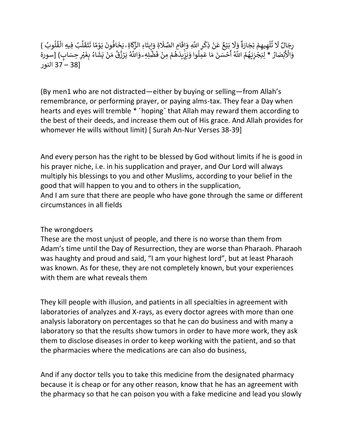يَوْمًا تَتَقَلَّبُ فِيهِ الْقُلُوبُ ) <u>់</u> افونَ ُ  $\ddot{\cdot}$ ۣ<br>ٵۉؚ؞ۑؘڂ َ ِ<br>إِيتَاءِ الزَّكَّ<br>فَي ما إ َ ِة و ِ<br>آ امِ الصَّلَ<mark>ا</mark> ֦֧<sup>֓</sup> َ إِقَّ<br>ِءَ إ بَيْعٌ عَنْ ذِكْرِ اللَّهِ وَ<br>إِيشاء مَنْ ذِكْرِ اللَّهِ وَ ْ ْ ់<br>រ į. َل َ و ٌ تُلْهِيهِمْ تِجَارَةٌ ֦֧֦֧֦ ֧֦֧֦ ُ ً<br>آ رِجَالٌ لَا تُلْهِيهِمْ تِجَارَةٌ وَلَا بَيْعٌ عَنْ ذِكْرِ اللَّهِ وَإِقَامِ الصَّلَاةِ وَإِيتَاءِ الزَّكَاةِ رِيَخَافُونَ يَوْمًا تَتَقَلَّبُ فِيهِ الْقُلُوبُ ٍ<br>ا ُ ْ ل َ ق َ ت  $\ddot{\cdot}$ ۇمًا تً ֦֧<sup>֦</sup> ں ر نتھیھم بِجارہ ور بیع عن دِنرِ اسو و<br>بُصَارُ \* لِيَجْزِيَهُمُ اللَّهُ أَحْسَنَ مَا عَمِلُوا وَدَ ً<br>ا أ ؚ<br>ۣ .<br>و ُ ة<br>أم ب<br>مئ رِ :- ت حس<del>م يون</del> العِبْد العَبْسِ على عليه السياسي و المستركز في العَبَّسِ عليه عليه السياسي و العَبَّسِ السورة<br>وَالْأَبْصَارُ \* لِيَجْزِيَهُمُ اللَّهُ أَحْسَنَ مَا عَمِلُوا وَيَزِيدَهُمْ مِنْ فَضَّلِهِ وَاللَّهُ يَرْزُق اءُ بِ**غَ** ُ ∕<br>∶ ِ ِر<sub>ِّ</sub>يِت*َاءِِ*  الرَّيْ ِيَتَ َــوْنَ يَوْ.<br>فَضَّلِهِ ۦوَاللَّهُ يَرْزُقُ مَنْ يَشَّ ْ ۔<br>' **∶** هُمْ مِنْ فَ ْ ֦֧<sup>֟</sup> ا<br>م ۔<br>آ زِيدَ [38 – 37 النور

(By men1 who are not distracted—either by buying or selling—from Allah's remembrance, or performing prayer, or paying alms-tax. They fear a Day when hearts and eyes will tremble \* [hoping] that Allah may reward them according to the best of their deeds, and increase them out of His grace. And Allah provides for whomever He wills without limit) [ Surah An-Nur Verses 38-39]

And every person has the right to be blessed by God without limits if he is good in his prayer niche, i.e. in his supplication and prayer, and Our Lord will always multiply his blessings to you and other Muslims, according to your belief in the good that will happen to you and to others in the supplication, And I am sure that there are people who have gone through the same or different circumstances in all fields

## The wrongdoers

These are the most unjust of people, and there is no worse than them from Adam's time until the Day of Resurrection, they are worse than Pharaoh. Pharaoh was haughty and proud and said, "I am your highest lord", but at least Pharaoh was known. As for these, they are not completely known, but your experiences with them are what reveals them

They kill people with illusion, and patients in all specialties in agreement with laboratories of analyzes and X-rays, as every doctor agrees with more than one analysis laboratory on percentages so that he can do business and with many a laboratory so that the results show tumors in order to have more work, they ask them to disclose diseases in order to keep working with the patient, and so that the pharmacies where the medications are can also do business,

And if any doctor tells you to take this medicine from the designated pharmacy because it is cheap or for any other reason, know that he has an agreement with the pharmacy so that he can poison you with a fake medicine and lead you slowly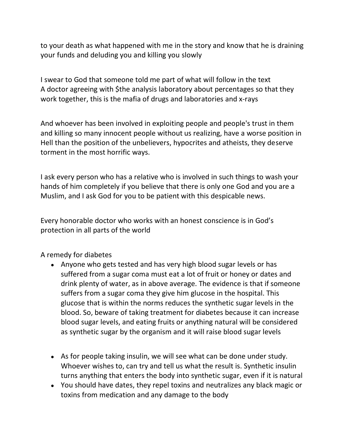to your death as what happened with me in the story and know that he is draining your funds and deluding you and killing you slowly

I swear to God that someone told me part of what will follow in the text A doctor agreeing with \$the analysis laboratory about percentages so that they work together, this is the mafia of drugs and laboratories and x-rays

And whoever has been involved in exploiting people and people's trust in them and killing so many innocent people without us realizing, have a worse position in Hell than the position of the unbelievers, hypocrites and atheists, they deserve torment in the most horrific ways.

I ask every person who has a relative who is involved in such things to wash your hands of him completely if you believe that there is only one God and you are a Muslim, and I ask God for you to be patient with this despicable news.

Every honorable doctor who works with an honest conscience is in God's protection in all parts of the world

## A remedy for diabetes

- Anyone who gets tested and has very high blood sugar levels or has suffered from a sugar coma must eat a lot of fruit or honey or dates and drink plenty of water, as in above average. The evidence is that if someone suffers from a sugar coma they give him glucose in the hospital. This glucose that is within the norms reduces the synthetic sugar levels in the blood. So, beware of taking treatment for diabetes because it can increase blood sugar levels, and eating fruits or anything natural will be considered as synthetic sugar by the organism and it will raise blood sugar levels
- As for people taking insulin, we will see what can be done under study. Whoever wishes to, can try and tell us what the result is. Synthetic insulin turns anything that enters the body into synthetic sugar, even if it is natural
- You should have dates, they repel toxins and neutralizes any black magic or toxins from medication and any damage to the body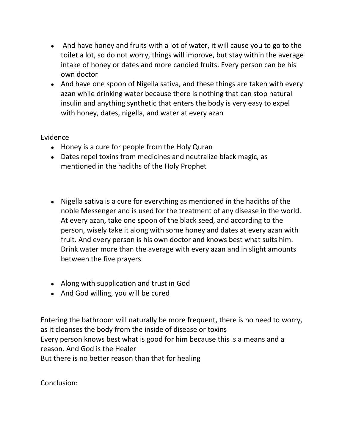- And have honey and fruits with a lot of water, it will cause you to go to the toilet a lot, so do not worry, things will improve, but stay within the average intake of honey or dates and more candied fruits. Every person can be his own doctor
- And have one spoon of Nigella sativa, and these things are taken with every azan while drinking water because there is nothing that can stop natural insulin and anything synthetic that enters the body is very easy to expel with honey, dates, nigella, and water at every azan

## Evidence

- Honey is a cure for people from the Holy Quran
- Dates repel toxins from medicines and neutralize black magic, as mentioned in the hadiths of the Holy Prophet
- Nigella sativa is a cure for everything as mentioned in the hadiths of the noble Messenger and is used for the treatment of any disease in the world. At every azan, take one spoon of the black seed, and according to the person, wisely take it along with some honey and dates at every azan with fruit. And every person is his own doctor and knows best what suits him. Drink water more than the average with every azan and in slight amounts between the five prayers
- Along with supplication and trust in God
- And God willing, you will be cured

Entering the bathroom will naturally be more frequent, there is no need to worry, as it cleanses the body from the inside of disease or toxins Every person knows best what is good for him because this is a means and a reason. And God is the Healer But there is no better reason than that for healing

Conclusion: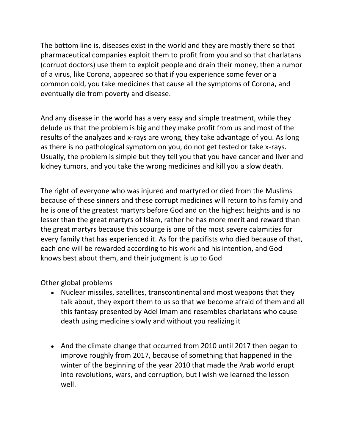The bottom line is, diseases exist in the world and they are mostly there so that pharmaceutical companies exploit them to profit from you and so that charlatans (corrupt doctors) use them to exploit people and drain their money, then a rumor of a virus, like Corona, appeared so that if you experience some fever or a common cold, you take medicines that cause all the symptoms of Corona, and eventually die from poverty and disease.

And any disease in the world has a very easy and simple treatment, while they delude us that the problem is big and they make profit from us and most of the results of the analyzes and x-rays are wrong, they take advantage of you. As long as there is no pathological symptom on you, do not get tested or take x-rays. Usually, the problem is simple but they tell you that you have cancer and liver and kidney tumors, and you take the wrong medicines and kill you a slow death.

The right of everyone who was injured and martyred or died from the Muslims because of these sinners and these corrupt medicines will return to his family and he is one of the greatest martyrs before God and on the highest heights and is no lesser than the great martyrs of Islam, rather he has more merit and reward than the great martyrs because this scourge is one of the most severe calamities for every family that has experienced it. As for the pacifists who died because of that, each one will be rewarded according to his work and his intention, and God knows best about them, and their judgment is up to God

Other global problems

- Nuclear missiles, satellites, transcontinental and most weapons that they talk about, they export them to us so that we become afraid of them and all this fantasy presented by Adel Imam and resembles charlatans who cause death using medicine slowly and without you realizing it
- And the climate change that occurred from 2010 until 2017 then began to improve roughly from 2017, because of something that happened in the winter of the beginning of the year 2010 that made the Arab world erupt into revolutions, wars, and corruption, but I wish we learned the lesson well.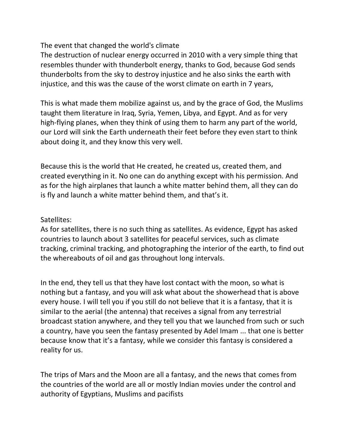The event that changed the world's climate

The destruction of nuclear energy occurred in 2010 with a very simple thing that resembles thunder with thunderbolt energy, thanks to God, because God sends thunderbolts from the sky to destroy injustice and he also sinks the earth with injustice, and this was the cause of the worst climate on earth in 7 years,

This is what made them mobilize against us, and by the grace of God, the Muslims taught them literature in Iraq, Syria, Yemen, Libya, and Egypt. And as for very high-flying planes, when they think of using them to harm any part of the world, our Lord will sink the Earth underneath their feet before they even start to think about doing it, and they know this very well.

Because this is the world that He created, he created us, created them, and created everything in it. No one can do anything except with his permission. And as for the high airplanes that launch a white matter behind them, all they can do is fly and launch a white matter behind them, and that's it.

Satellites:

As for satellites, there is no such thing as satellites. As evidence, Egypt has asked countries to launch about 3 satellites for peaceful services, such as climate tracking, criminal tracking, and photographing the interior of the earth, to find out the whereabouts of oil and gas throughout long intervals.

In the end, they tell us that they have lost contact with the moon, so what is nothing but a fantasy, and you will ask what about the showerhead that is above every house. I will tell you if you still do not believe that it is a fantasy, that it is similar to the aerial (the antenna) that receives a signal from any terrestrial broadcast station anywhere, and they tell you that we launched from such or such a country, have you seen the fantasy presented by Adel Imam ... that one is better because know that it's a fantasy, while we consider this fantasy is considered a reality for us.

The trips of Mars and the Moon are all a fantasy, and the news that comes from the countries of the world are all or mostly Indian movies under the control and authority of Egyptians, Muslims and pacifists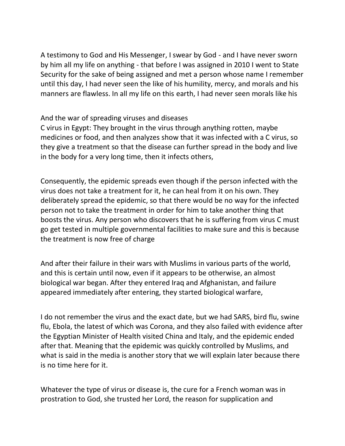A testimony to God and His Messenger, I swear by God - and I have never sworn by him all my life on anything - that before I was assigned in 2010 I went to State Security for the sake of being assigned and met a person whose name I remember until this day, I had never seen the like of his humility, mercy, and morals and his manners are flawless. In all my life on this earth, I had never seen morals like his

And the war of spreading viruses and diseases

C virus in Egypt: They brought in the virus through anything rotten, maybe medicines or food, and then analyzes show that it was infected with a C virus, so they give a treatment so that the disease can further spread in the body and live in the body for a very long time, then it infects others,

Consequently, the epidemic spreads even though if the person infected with the virus does not take a treatment for it, he can heal from it on his own. They deliberately spread the epidemic, so that there would be no way for the infected person not to take the treatment in order for him to take another thing that boosts the virus. Any person who discovers that he is suffering from virus C must go get tested in multiple governmental facilities to make sure and this is because the treatment is now free of charge

And after their failure in their wars with Muslims in various parts of the world, and this is certain until now, even if it appears to be otherwise, an almost biological war began. After they entered Iraq and Afghanistan, and failure appeared immediately after entering, they started biological warfare,

I do not remember the virus and the exact date, but we had SARS, bird flu, swine flu, Ebola, the latest of which was Corona, and they also failed with evidence after the Egyptian Minister of Health visited China and Italy, and the epidemic ended after that. Meaning that the epidemic was quickly controlled by Muslims, and what is said in the media is another story that we will explain later because there is no time here for it.

Whatever the type of virus or disease is, the cure for a French woman was in prostration to God, she trusted her Lord, the reason for supplication and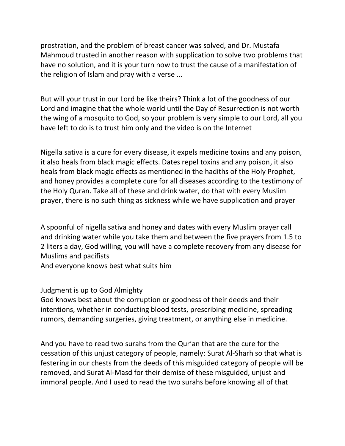prostration, and the problem of breast cancer was solved, and Dr. Mustafa Mahmoud trusted in another reason with supplication to solve two problems that have no solution, and it is your turn now to trust the cause of a manifestation of the religion of Islam and pray with a verse ...

But will your trust in our Lord be like theirs? Think a lot of the goodness of our Lord and imagine that the whole world until the Day of Resurrection is not worth the wing of a mosquito to God, so your problem is very simple to our Lord, all you have left to do is to trust him only and the video is on the Internet

Nigella sativa is a cure for every disease, it expels medicine toxins and any poison, it also heals from black magic effects. Dates repel toxins and any poison, it also heals from black magic effects as mentioned in the hadiths of the Holy Prophet, and honey provides a complete cure for all diseases according to the testimony of the Holy Quran. Take all of these and drink water, do that with every Muslim prayer, there is no such thing as sickness while we have supplication and prayer

A spoonful of nigella sativa and honey and dates with every Muslim prayer call and drinking water while you take them and between the five prayers from 1.5 to 2 liters a day, God willing, you will have a complete recovery from any disease for Muslims and pacifists

And everyone knows best what suits him

Judgment is up to God Almighty

God knows best about the corruption or goodness of their deeds and their intentions, whether in conducting blood tests, prescribing medicine, spreading rumors, demanding surgeries, giving treatment, or anything else in medicine.

And you have to read two surahs from the Qur'an that are the cure for the cessation of this unjust category of people, namely: Surat Al-Sharh so that what is festering in our chests from the deeds of this misguided category of people will be removed, and Surat Al-Masd for their demise of these misguided, unjust and immoral people. And I used to read the two surahs before knowing all of that